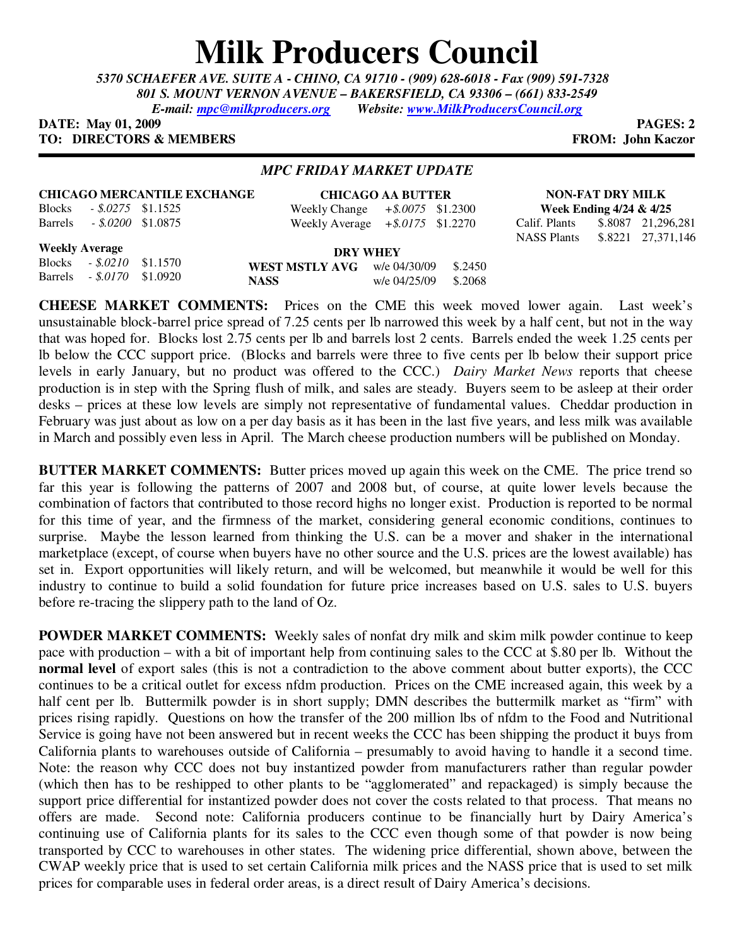## **Milk Producers Council**

*5370 SCHAEFER AVE. SUITE A* **-** *CHINO, CA 91710 - (909) 628-6018 - Fax (909) 591-7328 801 S. MOUNT VERNON AVENUE – BAKERSFIELD, CA 93306 – (661) 833-2549 E-mail: mpc@milkproducers.org Website: www.MilkProducersCouncil.org*

**DATE:** May 01, 2009 **PAGES:** 2 **TO: DIRECTORS & MEMBERS FROM: John Kaczor** 

*MPC FRIDAY MARKET UPDATE* 

## **CHICAGO MERCANTILE EXCHANGE**

Blocks *- \$.0275* \$1.1525 Barrels *- \$.0200* \$1.0875

**CHICAGO AA BUTTER** Weekly Change *+\$.0075* \$1.2300 Weekly Average *+\$.0175* \$1.2270

**NON-FAT DRY MILK Week Ending 4/24 & 4/25** Calif. Plants \$.8087 21,296,281

NASS Plants \$.8221 27,371,146

**Weekly Average** Blocks *- \$.0210* \$1.1570

Barrels *- \$.0170* \$1.0920

| DRY WHEY                        |              |         |
|---------------------------------|--------------|---------|
| WEST MSTLY $AVG$ w/e $04/30/09$ |              | \$.2450 |
| <b>NASS</b>                     | w/e 04/25/09 | \$.2068 |

**CHEESE MARKET COMMENTS:** Prices on the CME this week moved lower again. Last week's unsustainable block-barrel price spread of 7.25 cents per lb narrowed this week by a half cent, but not in the way that was hoped for. Blocks lost 2.75 cents per lb and barrels lost 2 cents. Barrels ended the week 1.25 cents per lb below the CCC support price. (Blocks and barrels were three to five cents per lb below their support price levels in early January, but no product was offered to the CCC.) *Dairy Market News* reports that cheese production is in step with the Spring flush of milk, and sales are steady. Buyers seem to be asleep at their order desks – prices at these low levels are simply not representative of fundamental values. Cheddar production in February was just about as low on a per day basis as it has been in the last five years, and less milk was available in March and possibly even less in April. The March cheese production numbers will be published on Monday.

**BUTTER MARKET COMMENTS:** Butter prices moved up again this week on the CME. The price trend so far this year is following the patterns of 2007 and 2008 but, of course, at quite lower levels because the combination of factors that contributed to those record highs no longer exist. Production is reported to be normal for this time of year, and the firmness of the market, considering general economic conditions, continues to surprise. Maybe the lesson learned from thinking the U.S. can be a mover and shaker in the international marketplace (except, of course when buyers have no other source and the U.S. prices are the lowest available) has set in. Export opportunities will likely return, and will be welcomed, but meanwhile it would be well for this industry to continue to build a solid foundation for future price increases based on U.S. sales to U.S. buyers before re-tracing the slippery path to the land of Oz.

**POWDER MARKET COMMENTS:** Weekly sales of nonfat dry milk and skim milk powder continue to keep pace with production – with a bit of important help from continuing sales to the CCC at \$.80 per lb. Without the **normal level** of export sales (this is not a contradiction to the above comment about butter exports), the CCC continues to be a critical outlet for excess nfdm production. Prices on the CME increased again, this week by a half cent per lb. Buttermilk powder is in short supply; DMN describes the buttermilk market as "firm" with prices rising rapidly. Questions on how the transfer of the 200 million lbs of nfdm to the Food and Nutritional Service is going have not been answered but in recent weeks the CCC has been shipping the product it buys from California plants to warehouses outside of California – presumably to avoid having to handle it a second time. Note: the reason why CCC does not buy instantized powder from manufacturers rather than regular powder (which then has to be reshipped to other plants to be "agglomerated" and repackaged) is simply because the support price differential for instantized powder does not cover the costs related to that process. That means no offers are made. Second note: California producers continue to be financially hurt by Dairy America's continuing use of California plants for its sales to the CCC even though some of that powder is now being transported by CCC to warehouses in other states. The widening price differential, shown above, between the CWAP weekly price that is used to set certain California milk prices and the NASS price that is used to set milk prices for comparable uses in federal order areas, is a direct result of Dairy America's decisions.